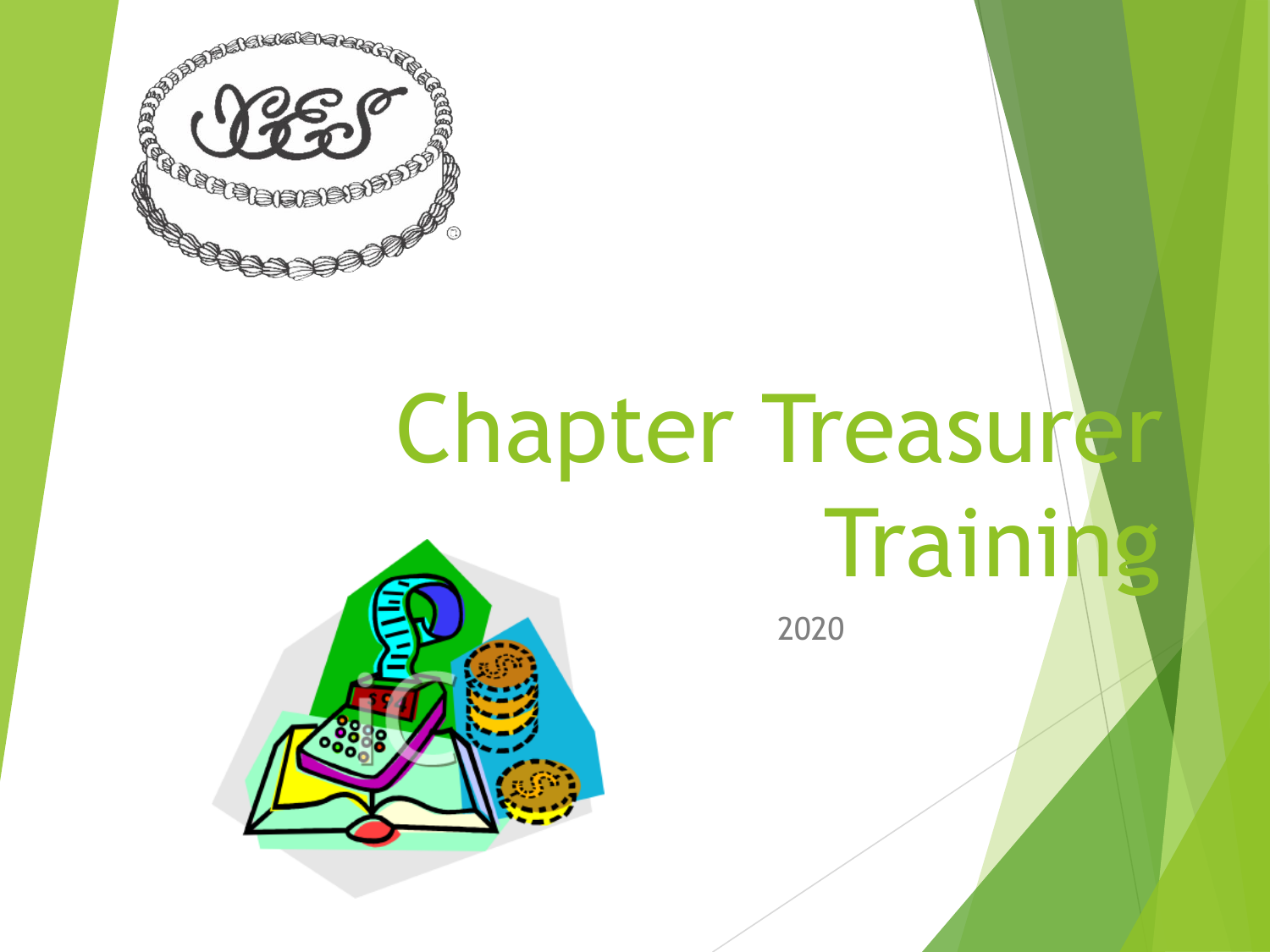

# Chapter Treasurer **Training**

2020

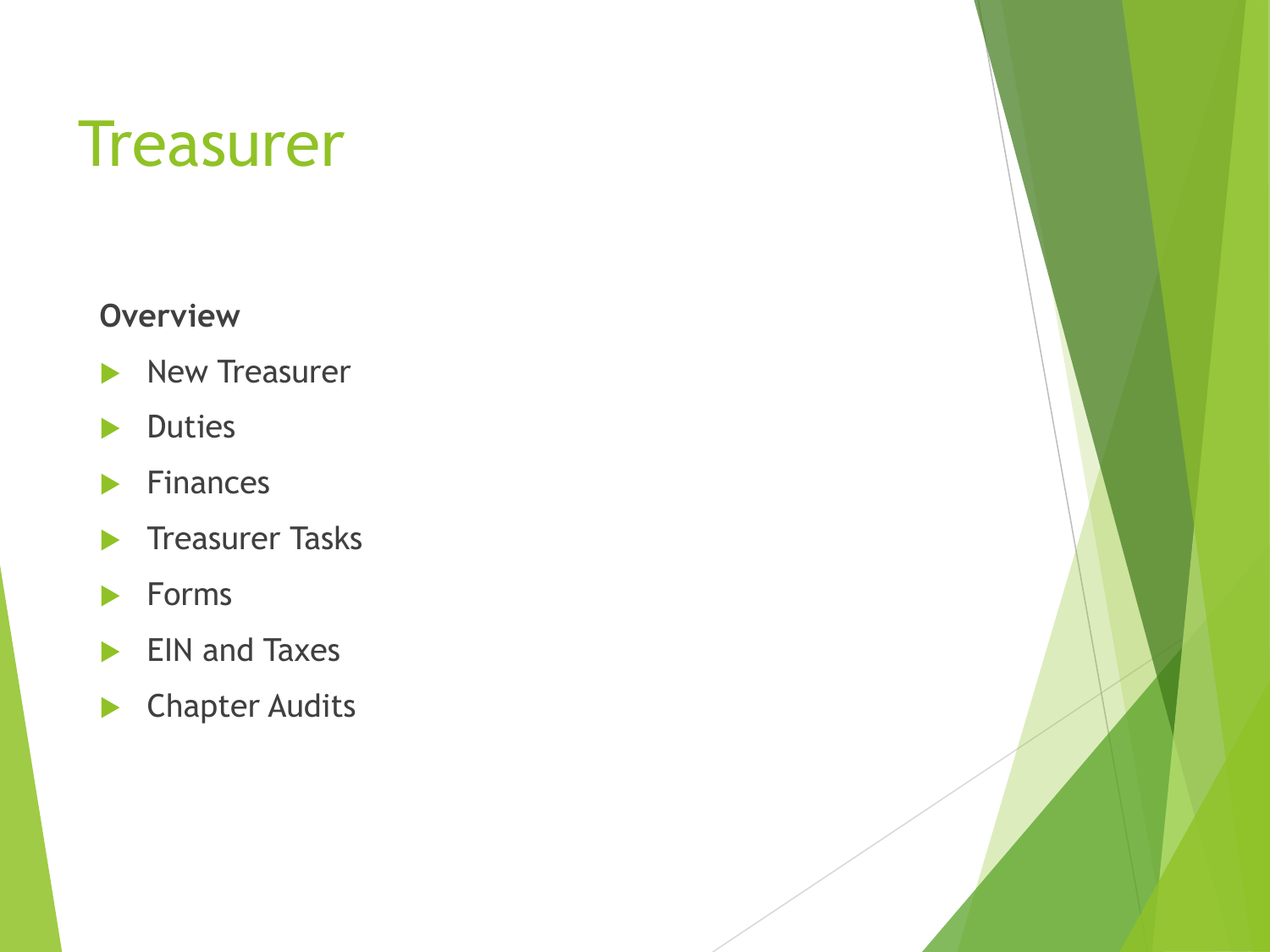#### **Treasurer**

#### **Overview**

- $\blacktriangleright$  New Treasurer
- **Duties**
- $\blacktriangleright$  Finances
- $\blacktriangleright$  Treasurer Tasks
- $\blacktriangleright$  Forms
- EIN and Taxes
- **Chapter Audits**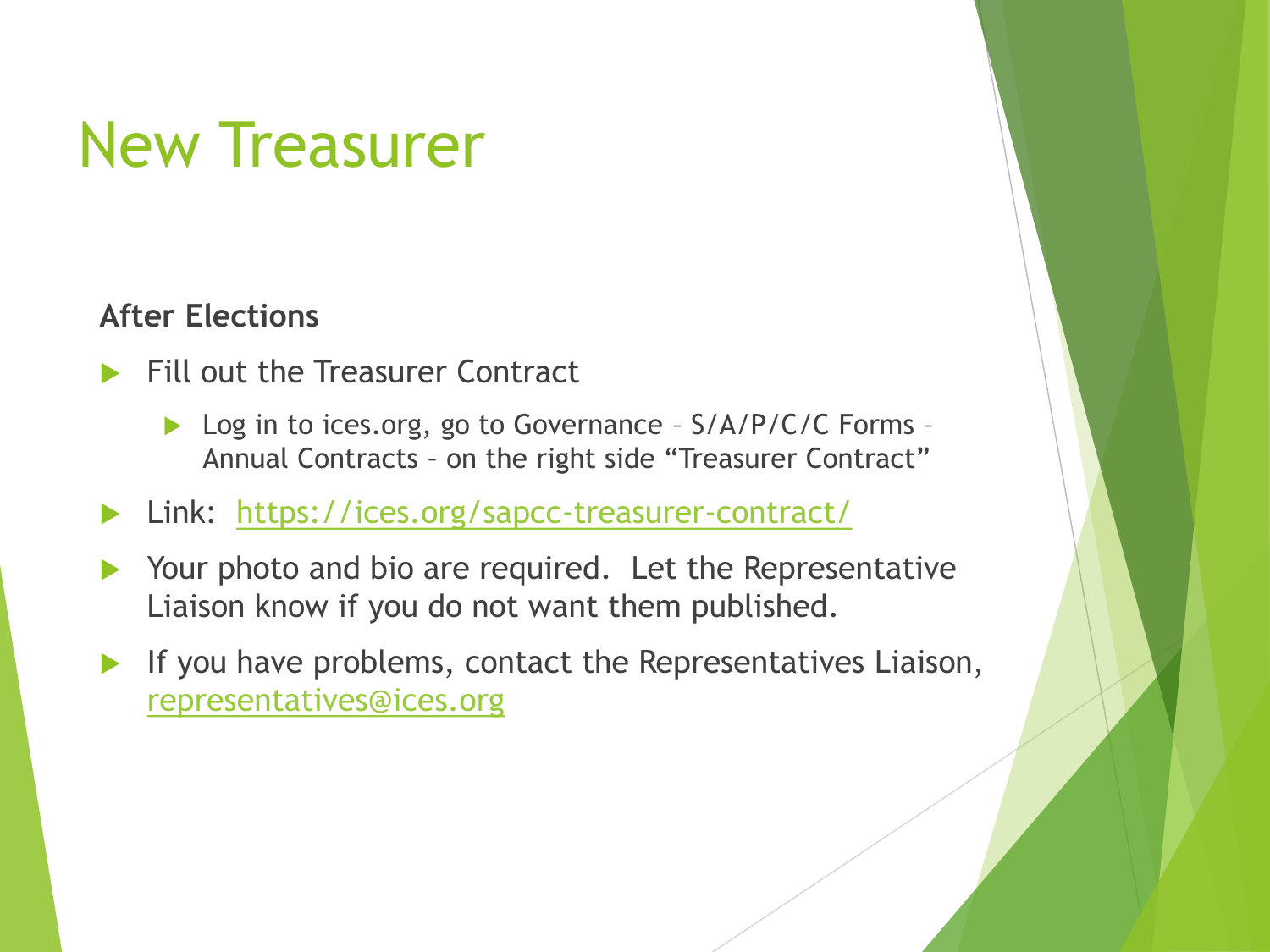### New Treasurer

#### **After Elections**

- Fill out the Treasurer Contract
	- ▶ Log in to ices.org, go to Governance S/A/P/C/C Forms -Annual Contracts – on the right side "Treasurer Contract"
- Link: <https://ices.org/sapcc-treasurer-contract/>
- Your photo and bio are required. Let the Representative Liaison know if you do not want them published.
- If you have problems, contact the Representatives Liaison, [representatives@ices.org](mailto:representatives@ices.org)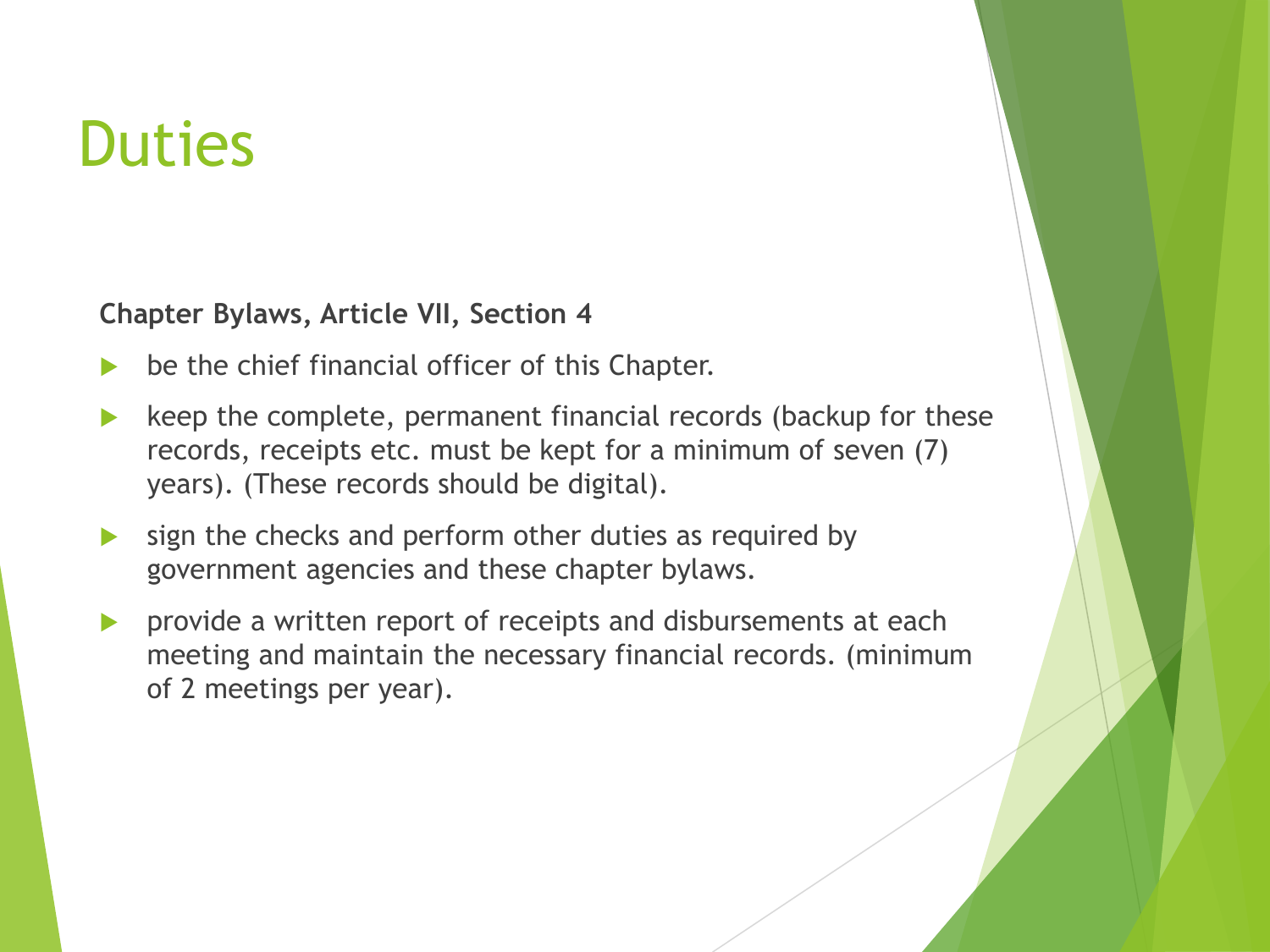### **Duties**

**Chapter Bylaws, Article VII, Section 4**

- be the chief financial officer of this Chapter.
- keep the complete, permanent financial records (backup for these records, receipts etc. must be kept for a minimum of seven (7) years). (These records should be digital).
- sign the checks and perform other duties as required by government agencies and these chapter bylaws.
- provide a written report of receipts and disbursements at each meeting and maintain the necessary financial records. (minimum of 2 meetings per year).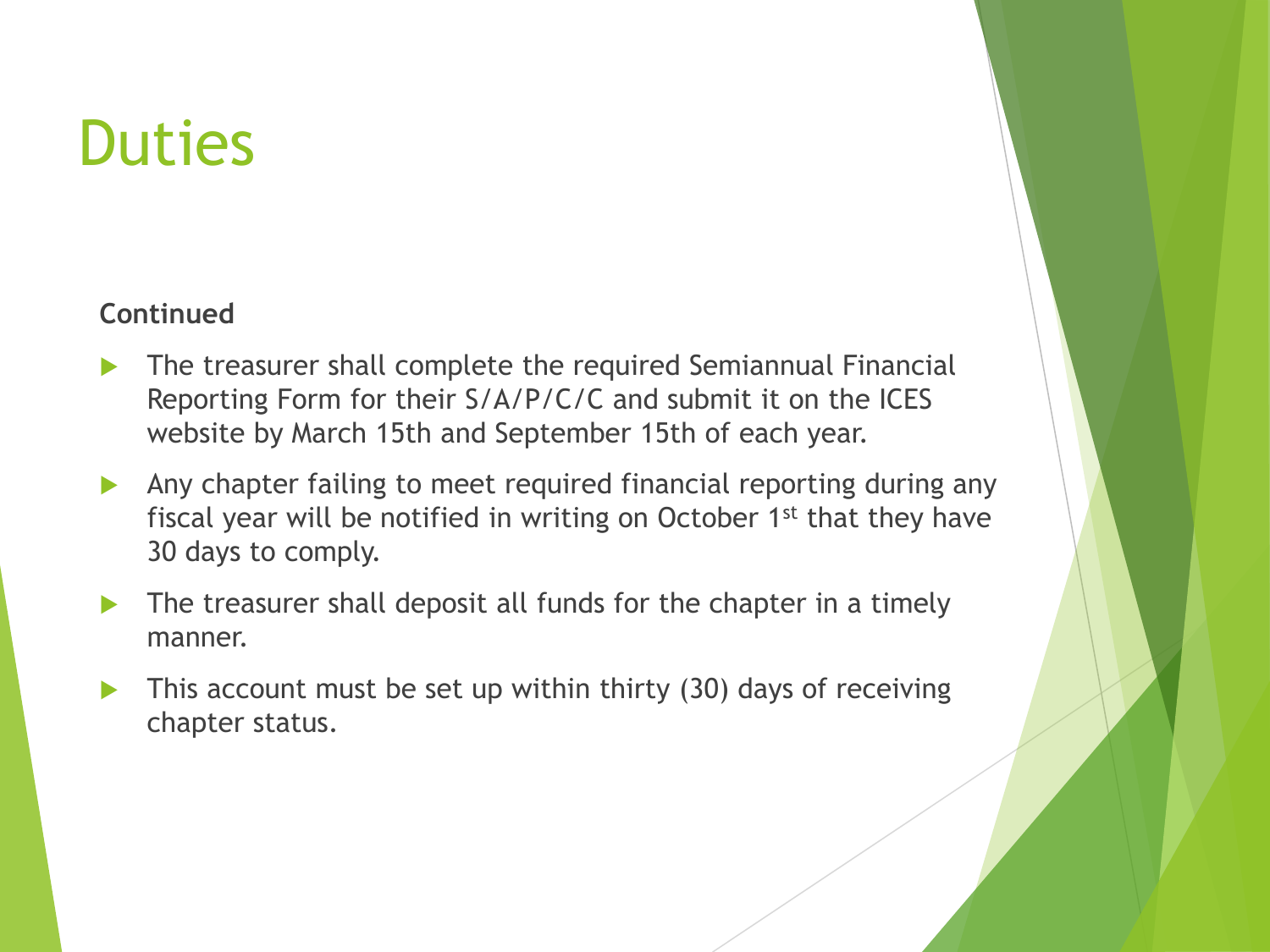### **Duties**

#### **Continued**

- The treasurer shall complete the required Semiannual Financial Reporting Form for their S/A/P/C/C and submit it on the ICES website by March 15th and September 15th of each year.
- Any chapter failing to meet required financial reporting during any fiscal year will be notified in writing on October 1st that they have 30 days to comply.
- The treasurer shall deposit all funds for the chapter in a timely manner.
- This account must be set up within thirty (30) days of receiving chapter status.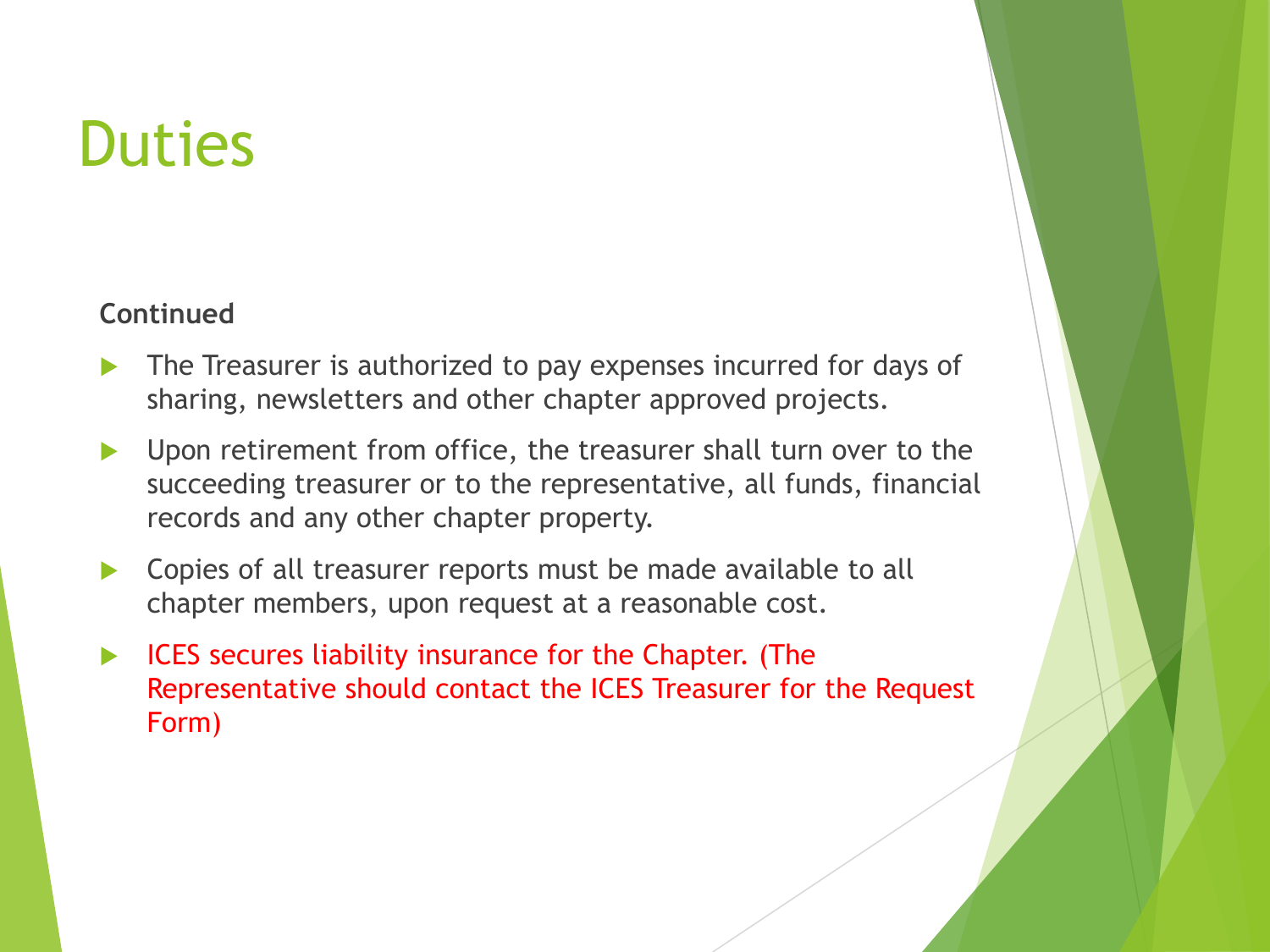### **Duties**

#### **Continued**

- The Treasurer is authorized to pay expenses incurred for days of sharing, newsletters and other chapter approved projects.
- Upon retirement from office, the treasurer shall turn over to the succeeding treasurer or to the representative, all funds, financial records and any other chapter property.
- Copies of all treasurer reports must be made available to all chapter members, upon request at a reasonable cost.
- ICES secures liability insurance for the Chapter. (The Representative should contact the ICES Treasurer for the Request Form)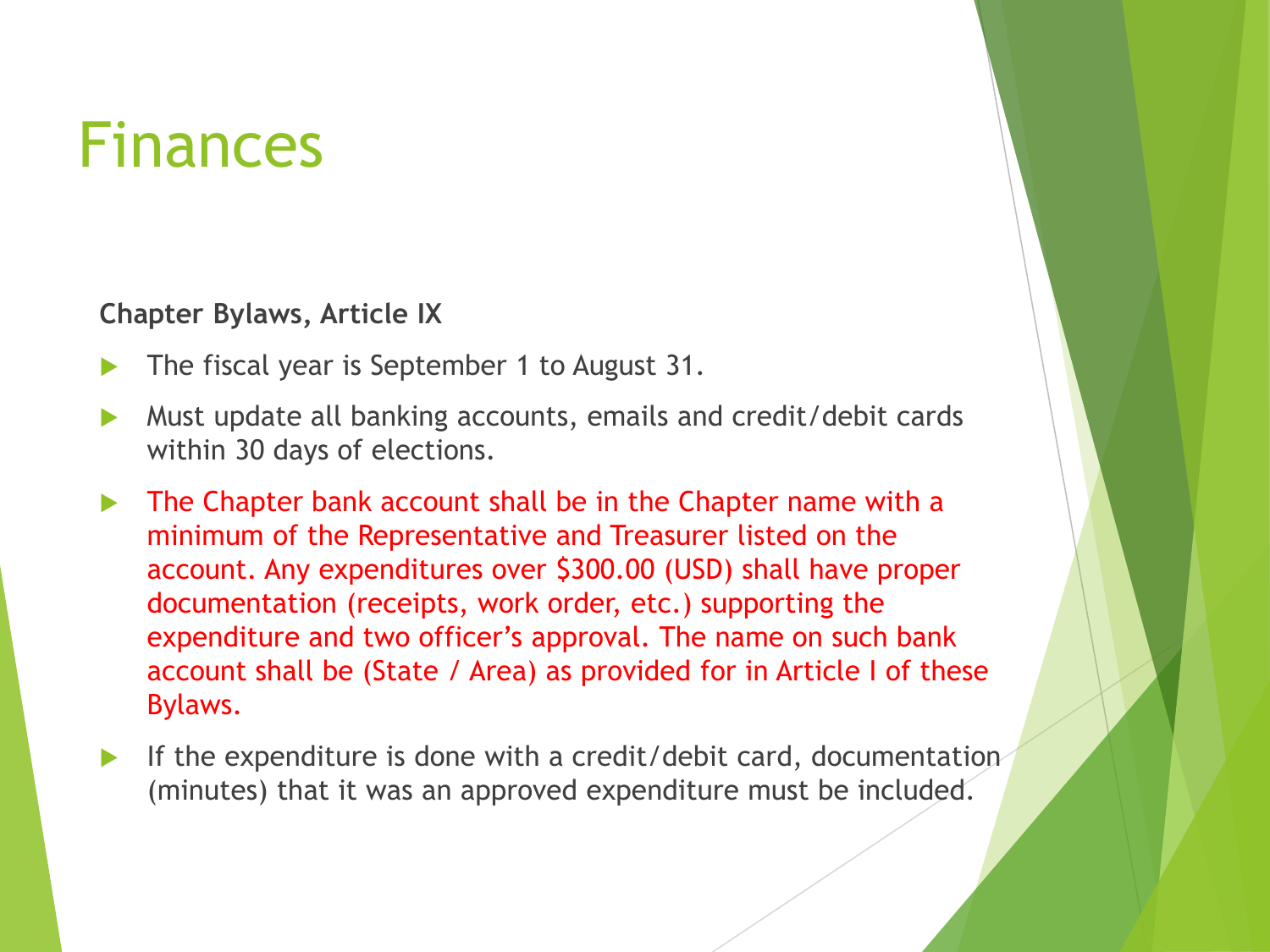### Finances

**Chapter Bylaws, Article IX**

- The fiscal year is September 1 to August 31.
- Must update all banking accounts, emails and credit/debit cards within 30 days of elections.
- The Chapter bank account shall be in the Chapter name with a minimum of the Representative and Treasurer listed on the account. Any expenditures over \$300.00 (USD) shall have proper documentation (receipts, work order, etc.) supporting the expenditure and two officer's approval. The name on such bank account shall be (State / Area) as provided for in Article I of these Bylaws.
- If the expenditure is done with a credit/debit card, documentation (minutes) that it was an approved expenditure must be included.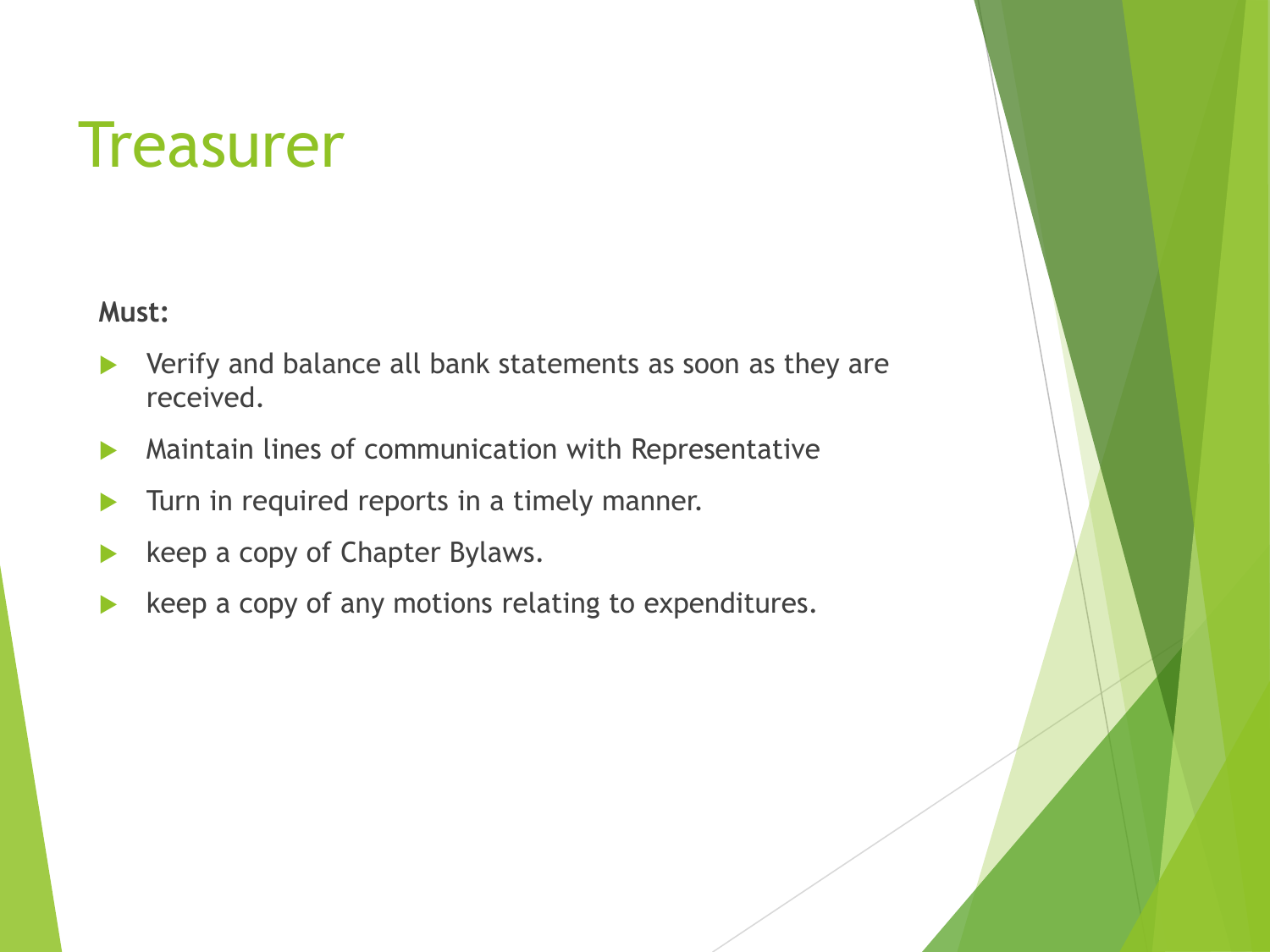#### **Treasurer**

**Must:**

- Verify and balance all bank statements as soon as they are received.
- Maintain lines of communication with Representative
- Turn in required reports in a timely manner.
- keep a copy of Chapter Bylaws.
- keep a copy of any motions relating to expenditures.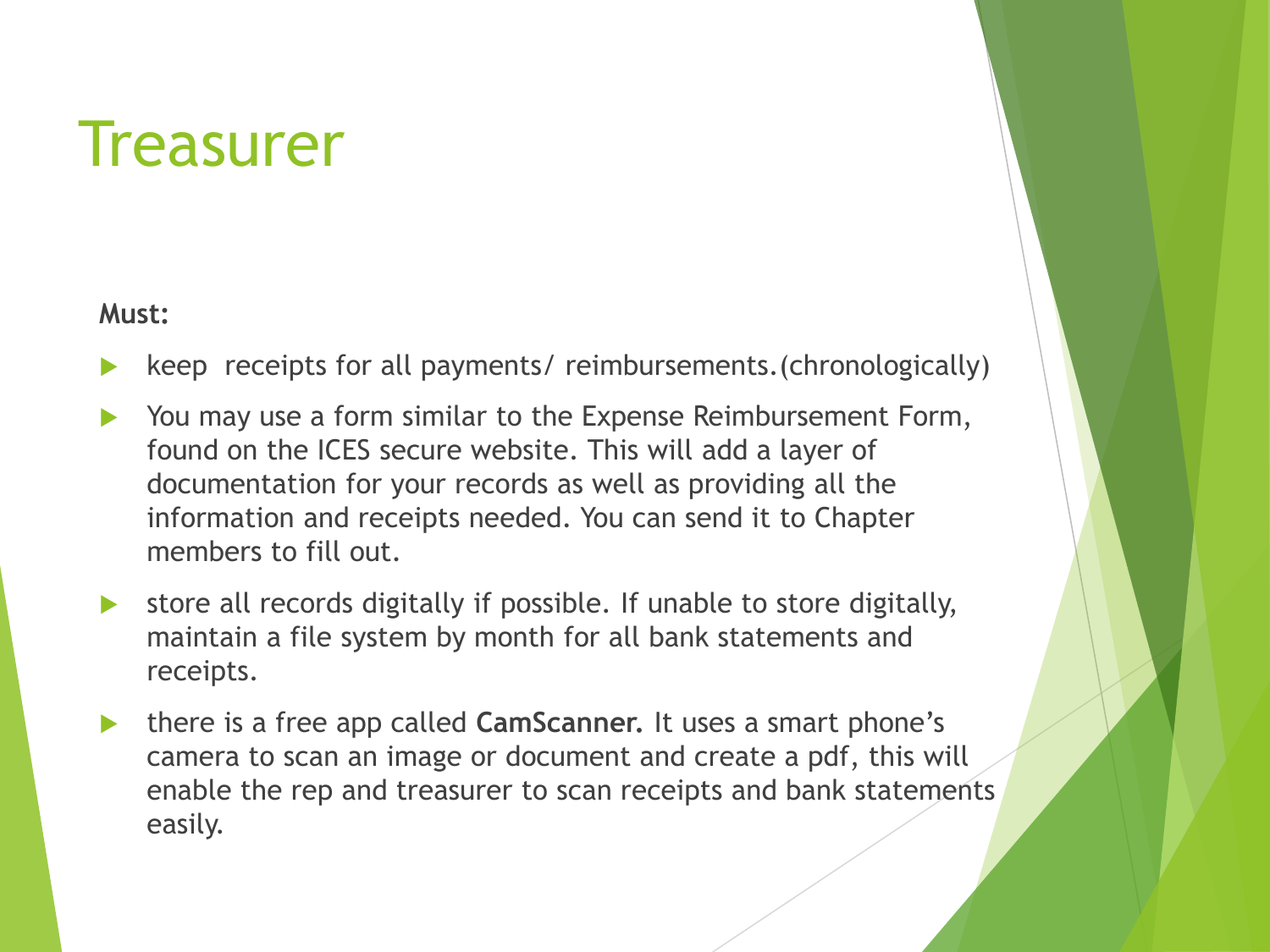#### **Treasurer**

#### **Must:**

- keep receipts for all payments/ reimbursements.(chronologically)
- You may use a form similar to the Expense Reimbursement Form, found on the ICES secure website. This will add a layer of documentation for your records as well as providing all the information and receipts needed. You can send it to Chapter members to fill out.
- store all records digitally if possible. If unable to store digitally, maintain a file system by month for all bank statements and receipts.
- there is a free app called **CamScanner.** It uses a smart phone's camera to scan an image or document and create a pdf, this will enable the rep and treasurer to scan receipts and bank statements easily.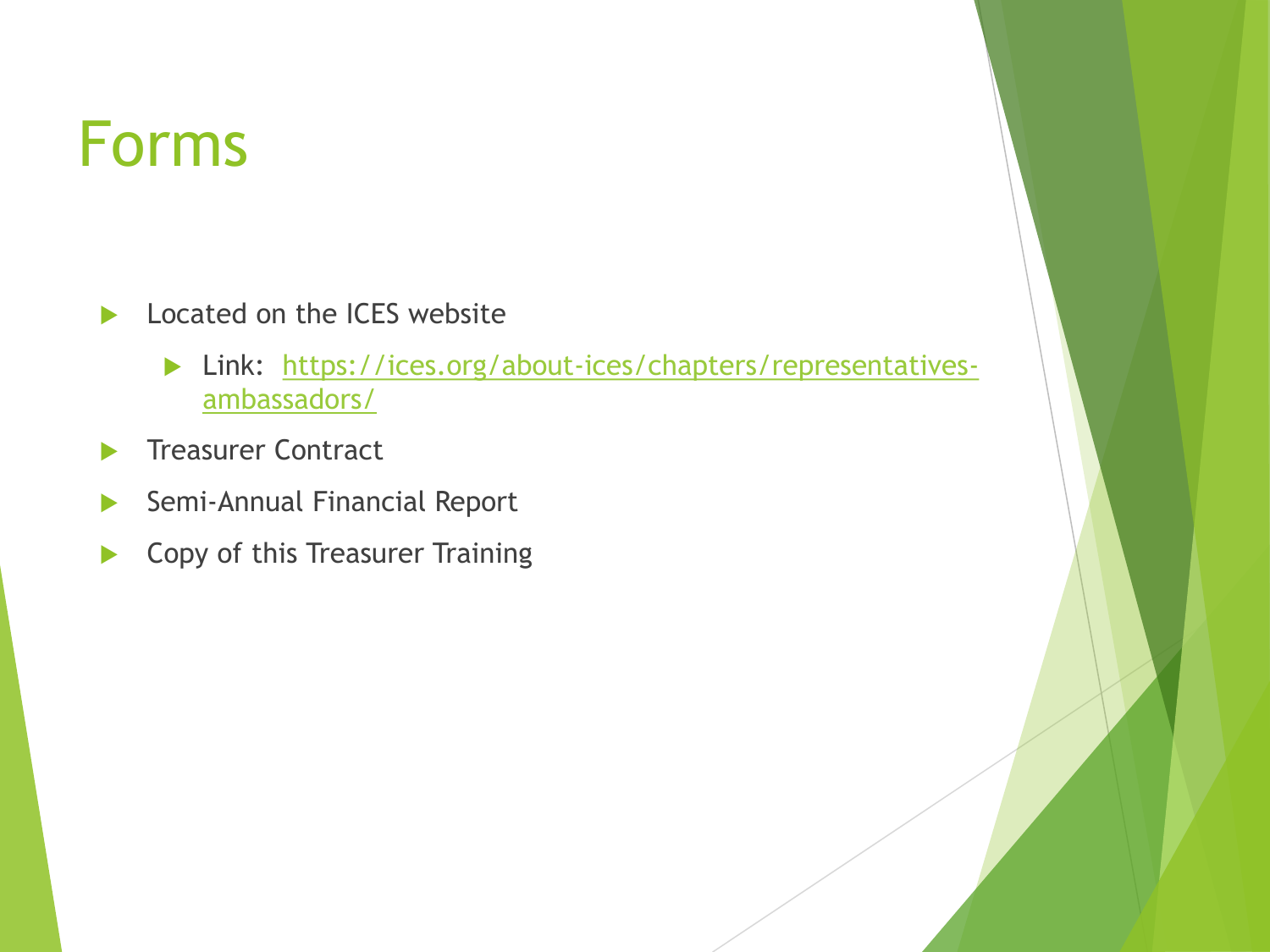### Forms

- Located on the ICES website
	- **Link:** https://ices.org/about-ices/chapters/representativesambassadors/
- Treasurer Contract
- Semi-Annual Financial Report
- **Copy of this Treasurer Training**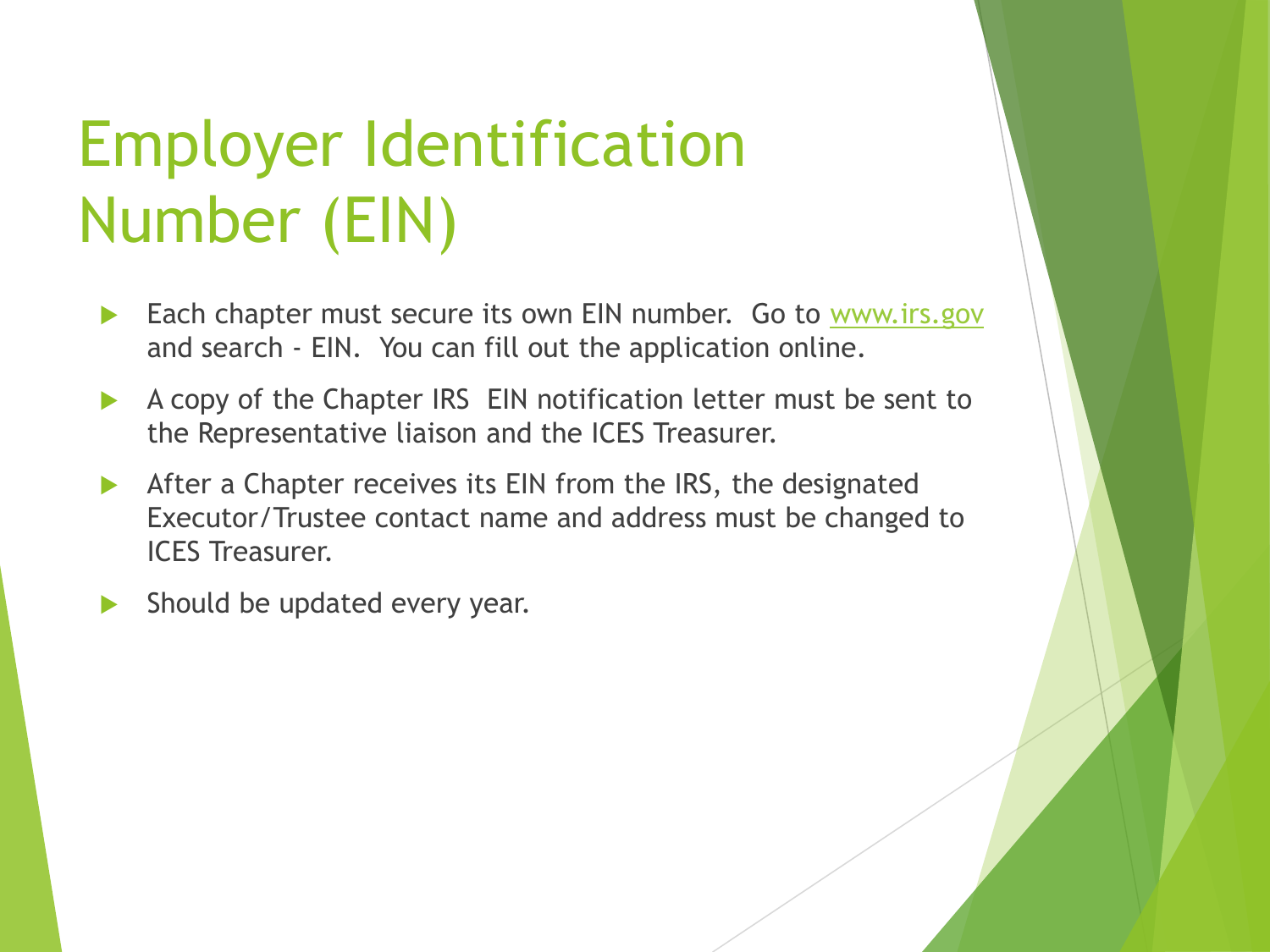# Employer Identification Number (EIN)

- Each chapter must secure its own EIN number. Go to [www.irs.gov](http://www.irs.gov/) and search - EIN. You can fill out the application online.
- A copy of the Chapter IRS EIN notification letter must be sent to the Representative liaison and the ICES Treasurer.
- After a Chapter receives its EIN from the IRS, the designated Executor/Trustee contact name and address must be changed to ICES Treasurer.
- Should be updated every year.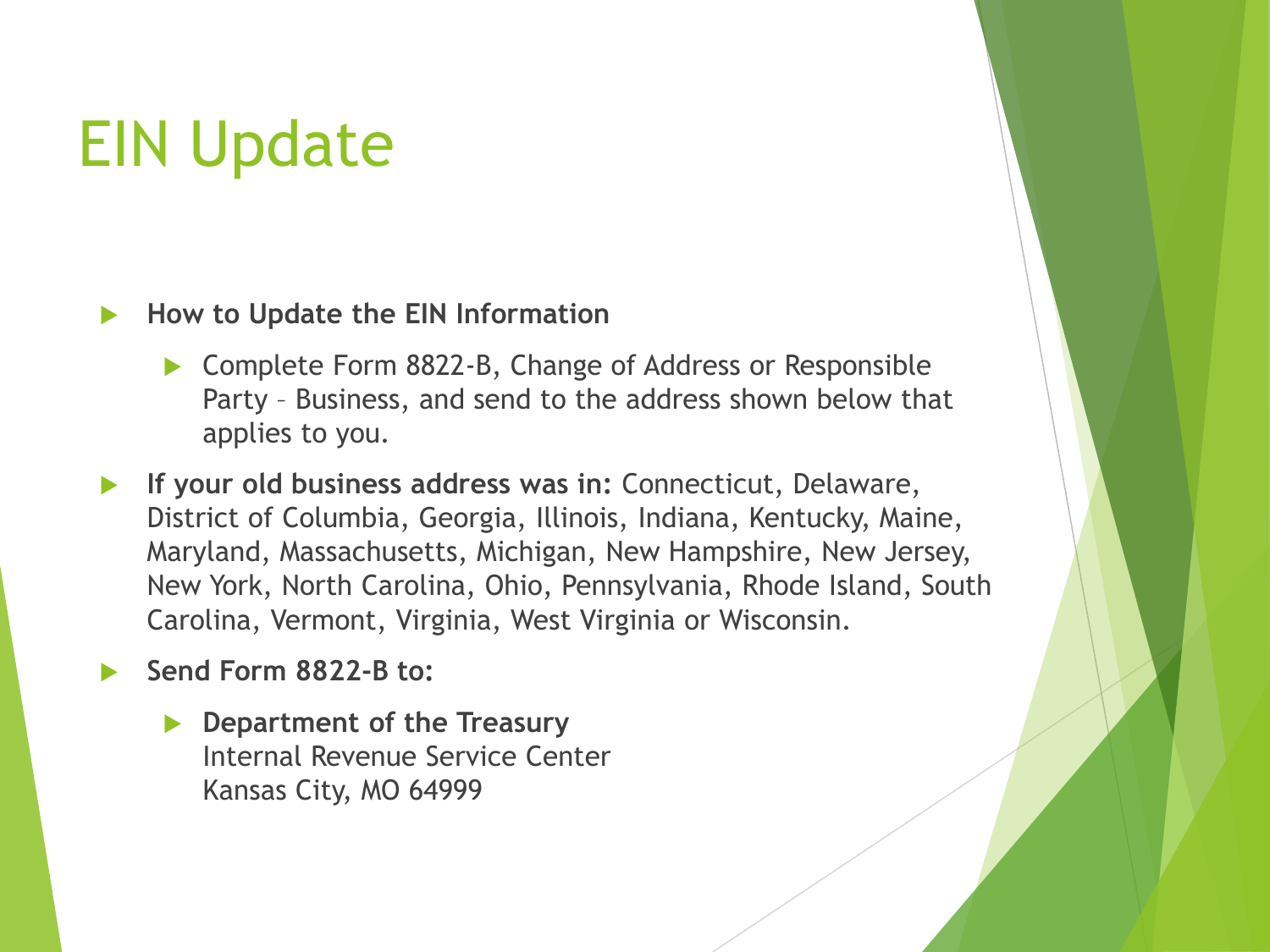# EIN Update

#### **How to Update the EIN Information**

- ▶ Complete Form 8822-B, Change of Address or Responsible Party – Business, and send to the address shown below that applies to you.
- **If your old business address was in:** Connecticut, Delaware, District of Columbia, Georgia, Illinois, Indiana, Kentucky, Maine, Maryland, Massachusetts, Michigan, New Hampshire, New Jersey, New York, North Carolina, Ohio, Pennsylvania, Rhode Island, South Carolina, Vermont, Virginia, West Virginia or Wisconsin.

**Send Form 8822-B to:** 

 **Department of the Treasury** Internal Revenue Service Center Kansas City, MO 64999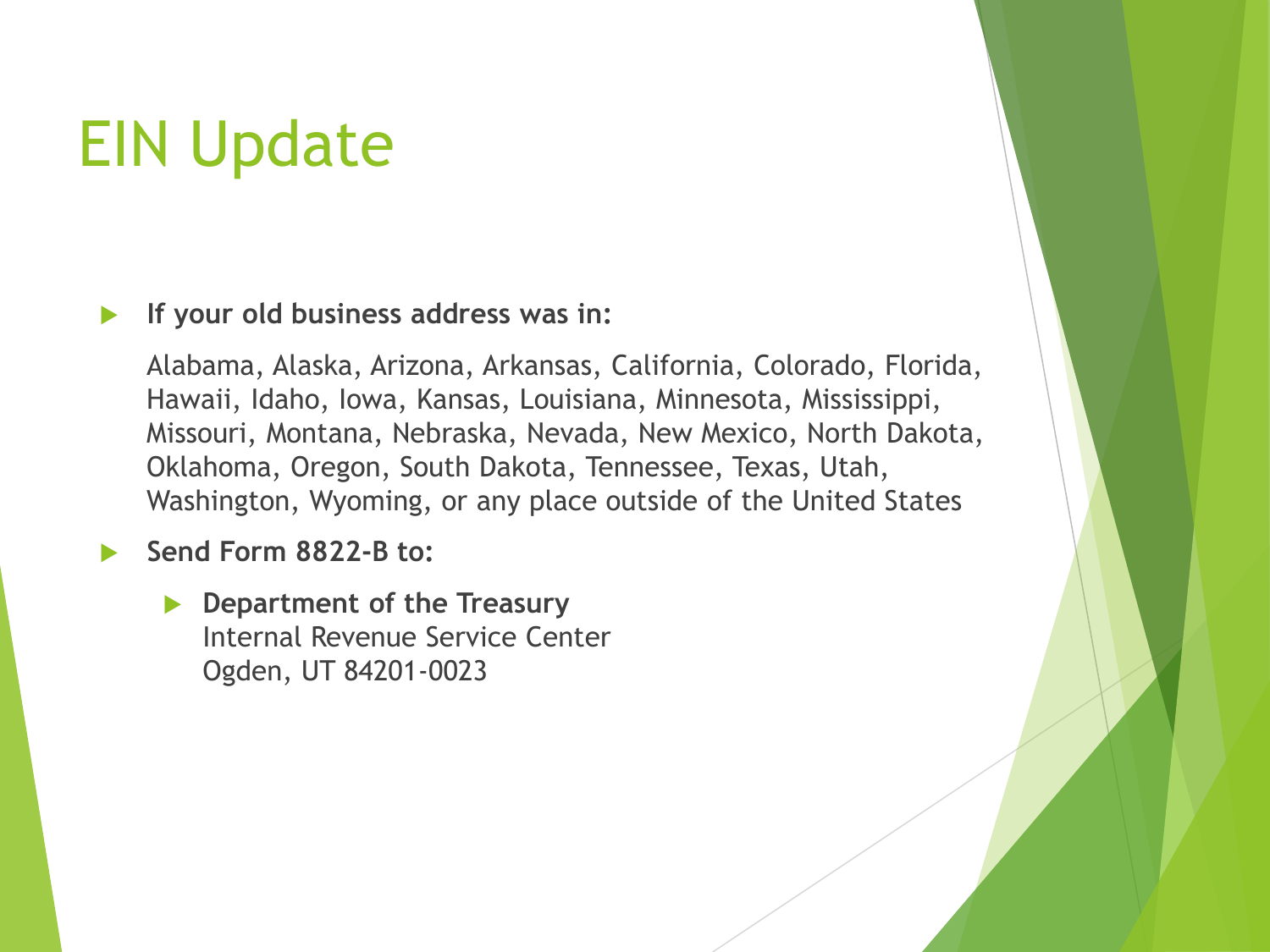# EIN Update

#### **If your old business address was in:**

Alabama, Alaska, Arizona, Arkansas, California, Colorado, Florida, Hawaii, Idaho, Iowa, Kansas, Louisiana, Minnesota, Mississippi, Missouri, Montana, Nebraska, Nevada, New Mexico, North Dakota, Oklahoma, Oregon, South Dakota, Tennessee, Texas, Utah, Washington, Wyoming, or any place outside of the United States

#### **Send Form 8822-B to:**

 **Department of the Treasury** Internal Revenue Service Center Ogden, UT 84201-0023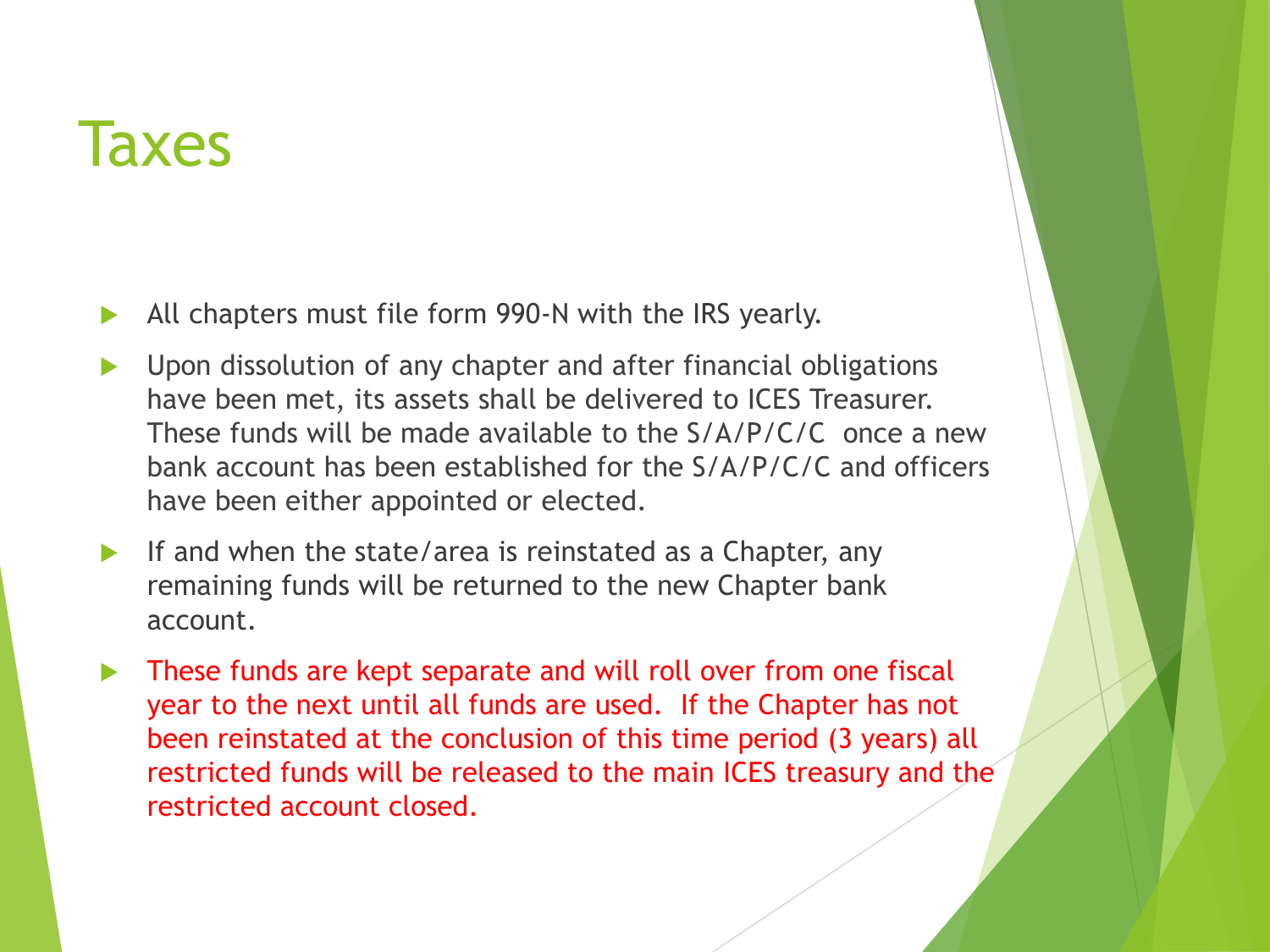#### **Taxes**

- All chapters must file form 990-N with the IRS yearly.
- Upon dissolution of any chapter and after financial obligations have been met, its assets shall be delivered to ICES Treasurer. These funds will be made available to the S/A/P/C/C once a new bank account has been established for the S/A/P/C/C and officers have been either appointed or elected.
- If and when the state/area is reinstated as a Chapter, any remaining funds will be returned to the new Chapter bank account.
- These funds are kept separate and will roll over from one fiscal year to the next until all funds are used. If the Chapter has not been reinstated at the conclusion of this time period (3 years) all restricted funds will be released to the main ICES treasury and the restricted account closed.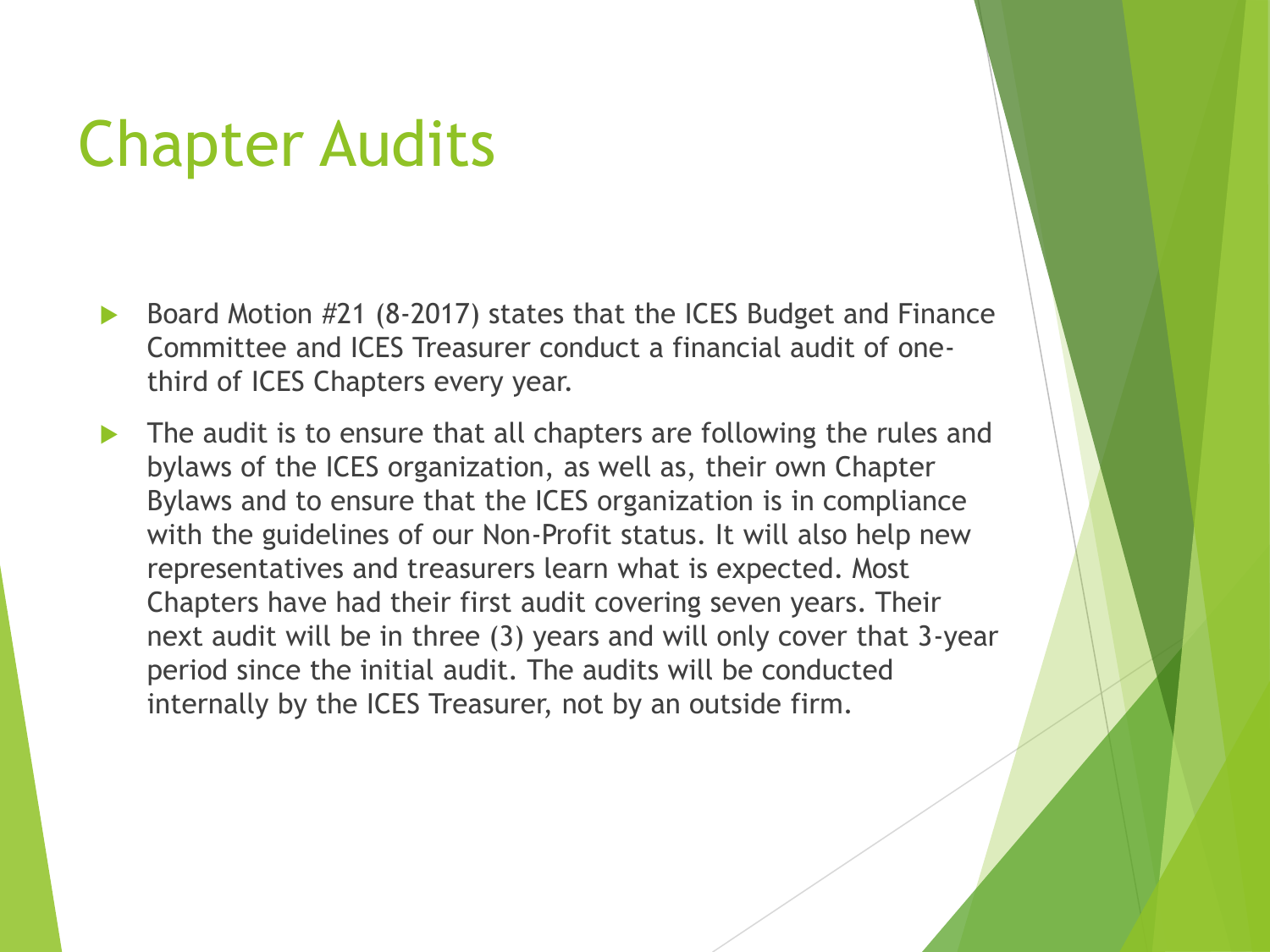- Board Motion #21 (8-2017) states that the ICES Budget and Finance Committee and ICES Treasurer conduct a financial audit of onethird of ICES Chapters every year.
- The audit is to ensure that all chapters are following the rules and bylaws of the ICES organization, as well as, their own Chapter Bylaws and to ensure that the ICES organization is in compliance with the guidelines of our Non-Profit status. It will also help new representatives and treasurers learn what is expected. Most Chapters have had their first audit covering seven years. Their next audit will be in three (3) years and will only cover that 3-year period since the initial audit. The audits will be conducted internally by the ICES Treasurer, not by an outside firm.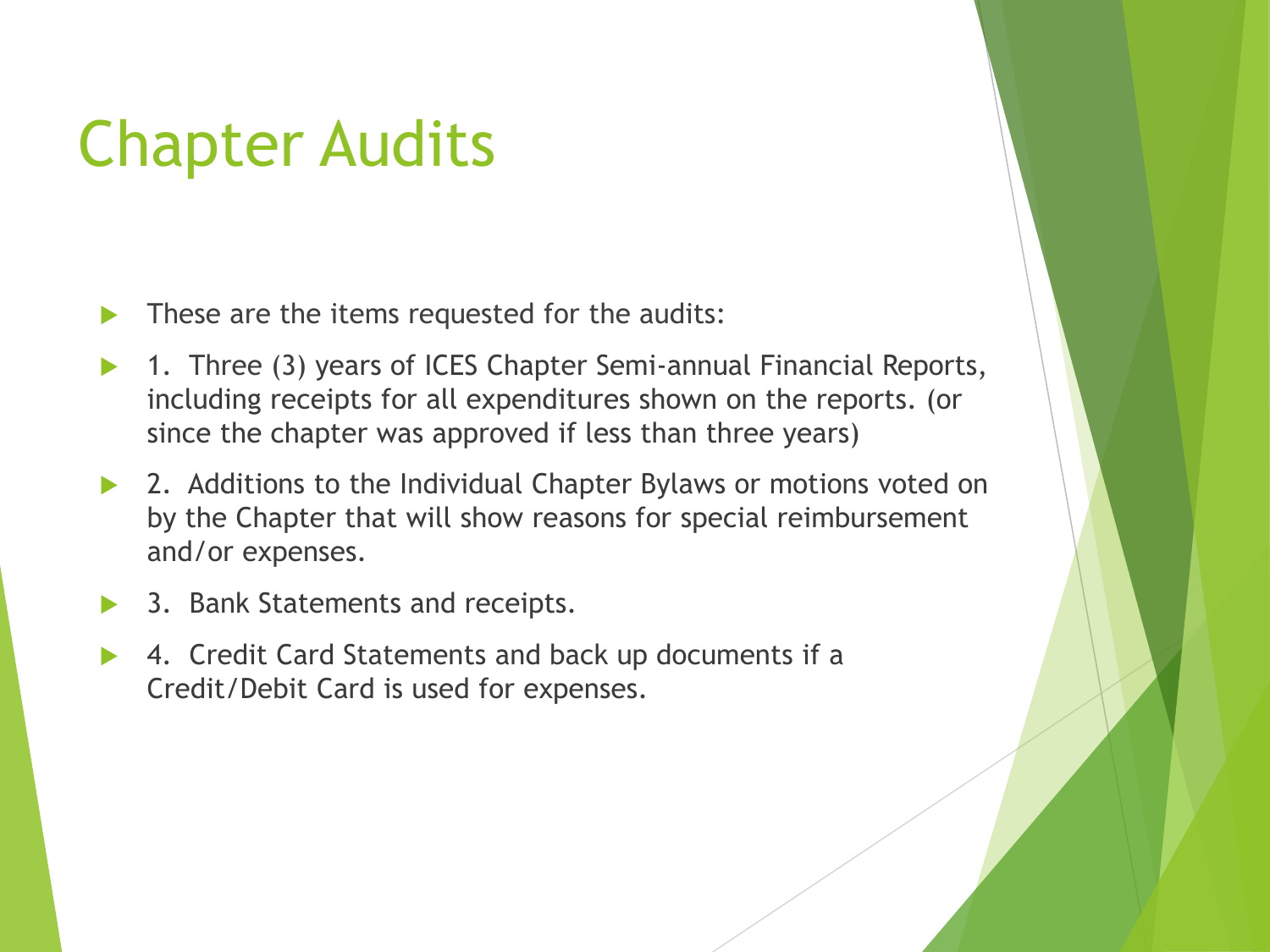- These are the items requested for the audits:
- 1. Three (3) years of ICES Chapter Semi-annual Financial Reports, including receipts for all expenditures shown on the reports. (or since the chapter was approved if less than three years)
- 2. Additions to the Individual Chapter Bylaws or motions voted on by the Chapter that will show reasons for special reimbursement and/or expenses.
- 3. Bank Statements and receipts.
- 4. Credit Card Statements and back up documents if a Credit/Debit Card is used for expenses.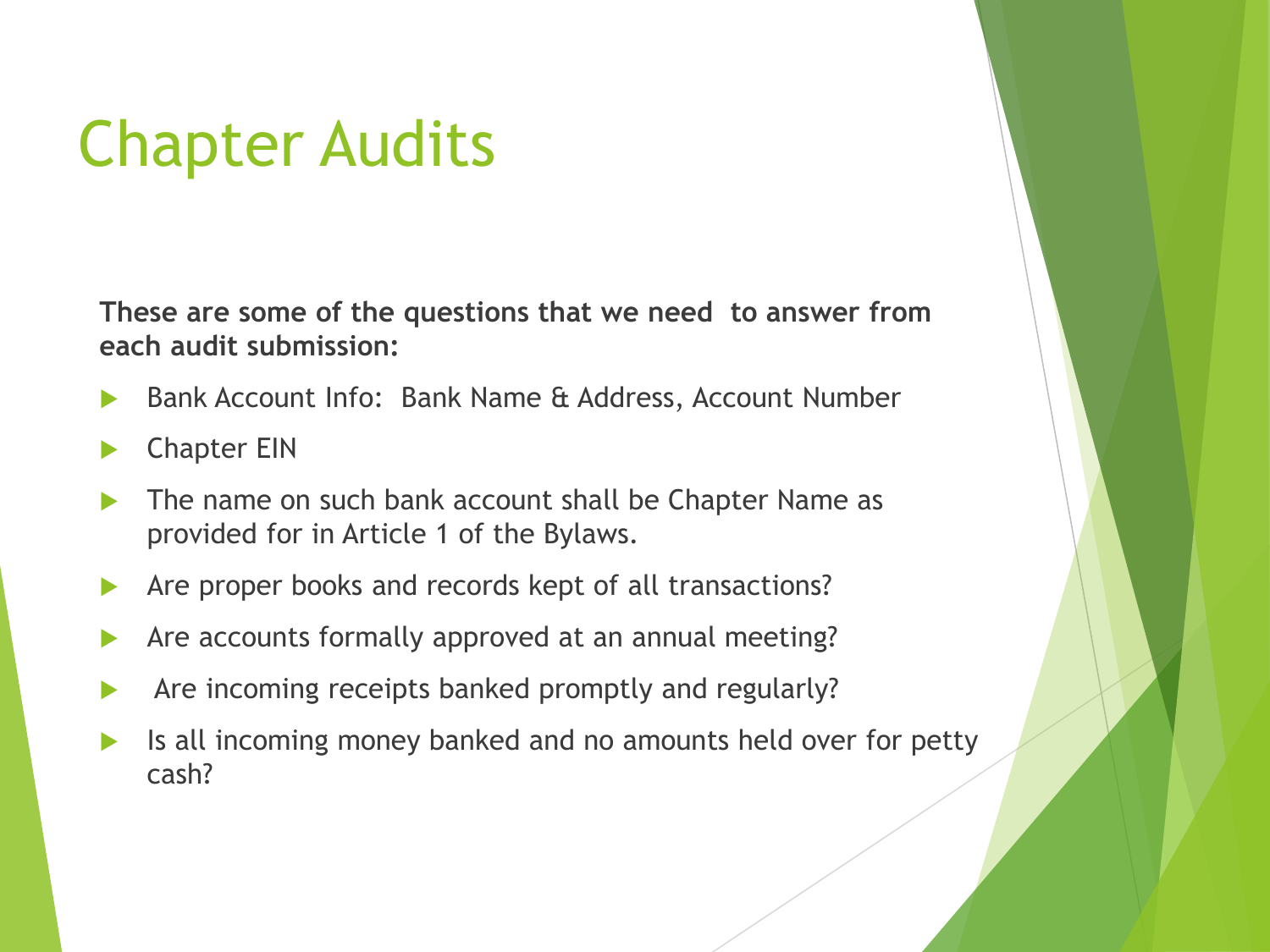**These are some of the questions that we need to answer from each audit submission:**

- Bank Account Info: Bank Name & Address, Account Number
- Chapter EIN
- The name on such bank account shall be Chapter Name as provided for in Article 1 of the Bylaws.
- Are proper books and records kept of all transactions?
- Are accounts formally approved at an annual meeting?
- Are incoming receipts banked promptly and regularly?
- Is all incoming money banked and no amounts held over for petty cash?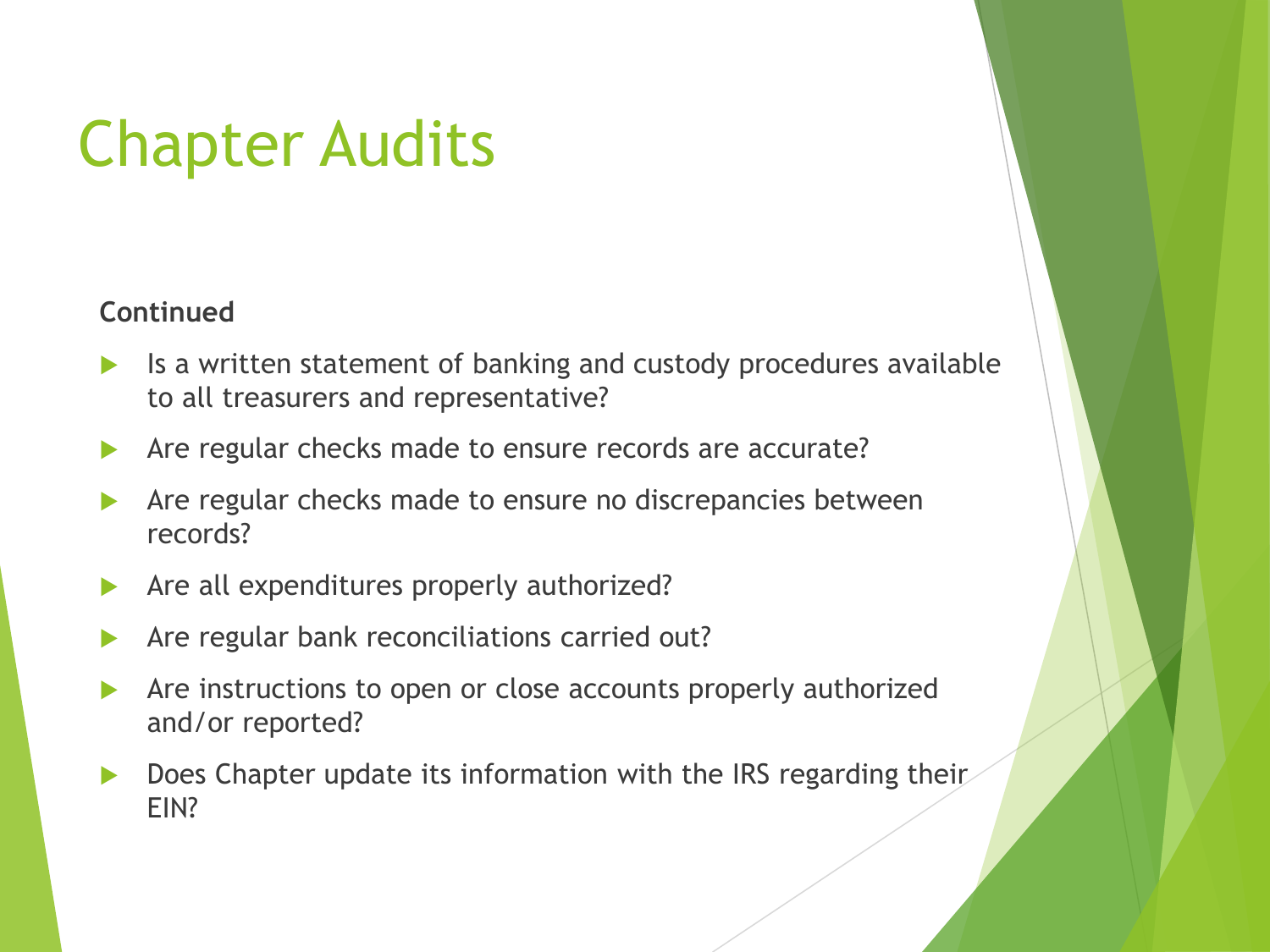#### **Continued**

- Is a written statement of banking and custody procedures available to all treasurers and representative?
- Are regular checks made to ensure records are accurate?
- Are regular checks made to ensure no discrepancies between records?
- Are all expenditures properly authorized?
- Are regular bank reconciliations carried out?
- Are instructions to open or close accounts properly authorized and/or reported?
- Does Chapter update its information with the IRS regarding their EIN?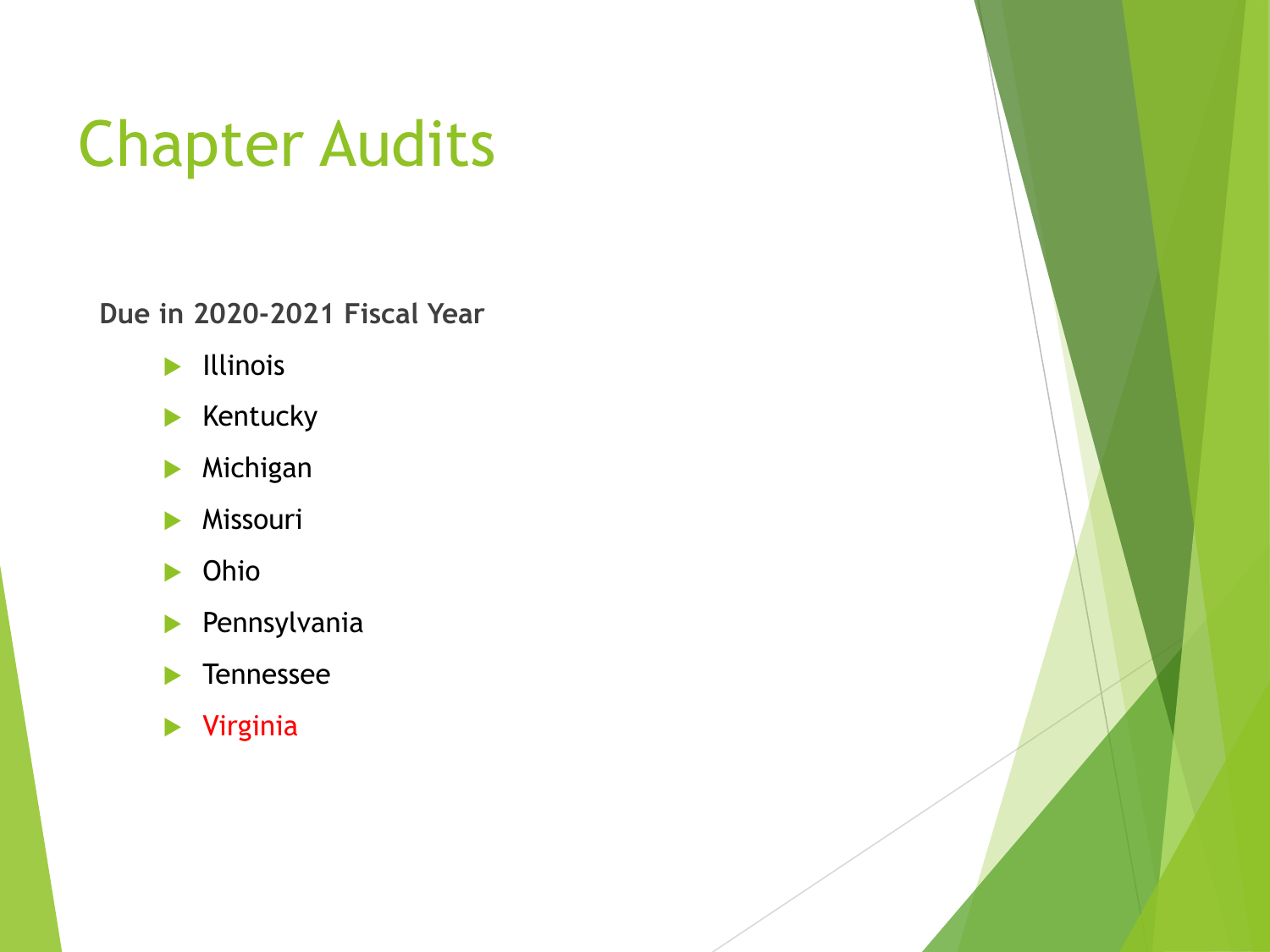**Due in 2020-2021 Fiscal Year**

- $\blacktriangleright$  Illinois
- $\blacktriangleright$  Kentucky
- **Michigan**
- **Missouri**
- **Dhio**
- **Pennsylvania**
- **Tennessee**
- Virginia